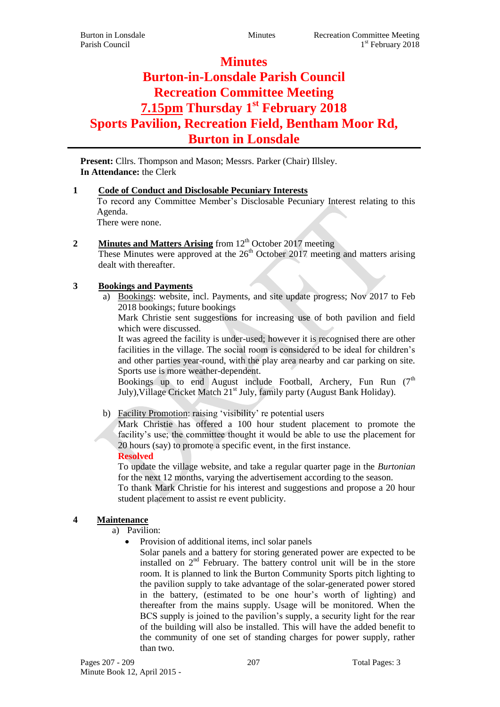# **Minutes Burton-in-Lonsdale Parish Council Recreation Committee Meeting 7.15pm Thursday 1 st February 2018 Sports Pavilion, Recreation Field, Bentham Moor Rd, Burton in Lonsdale**

Present: Cllrs. Thompson and Mason; Messrs. Parker (Chair) Illsley. **In Attendance:** the Clerk

## **1 Code of Conduct and Disclosable Pecuniary Interests**

To record any Committee Member's Disclosable Pecuniary Interest relating to this Agenda.

There were none.

## **2 Minutes and Matters Arising** from 12<sup>th</sup> October 2017 meeting

These Minutes were approved at the  $26<sup>th</sup>$  October 2017 meeting and matters arising dealt with thereafter.

## **3 Bookings and Payments**

a) Bookings: website, incl. Payments, and site update progress; Nov 2017 to Feb 2018 bookings; future bookings

Mark Christie sent suggestions for increasing use of both pavilion and field which were discussed.

It was agreed the facility is under-used; however it is recognised there are other facilities in the village. The social room is considered to be ideal for children's and other parties year-round, with the play area nearby and car parking on site. Sports use is more weather-dependent.

Bookings up to end August include Football, Archery, Fun Run  $(7<sup>th</sup>$ July), Village Cricket Match 21<sup>st</sup> July, family party (August Bank Holiday).

# b) Facility Promotion: raising 'visibility' re potential users

Mark Christie has offered a 100 hour student placement to promote the facility's use; the committee thought it would be able to use the placement for 20 hours (say) to promote a specific event, in the first instance.

# **Resolved**

To update the village website, and take a regular quarter page in the *Burtonian* for the next 12 months, varying the advertisement according to the season.

To thank Mark Christie for his interest and suggestions and propose a 20 hour student placement to assist re event publicity.

## **4 Maintenance**

- a) Pavilion:
	- Provision of additional items, incl solar panels

Solar panels and a battery for storing generated power are expected to be installed on  $2<sup>nd</sup>$  February. The battery control unit will be in the store room. It is planned to link the Burton Community Sports pitch lighting to the pavilion supply to take advantage of the solar-generated power stored in the battery, (estimated to be one hour's worth of lighting) and thereafter from the mains supply. Usage will be monitored. When the BCS supply is joined to the pavilion's supply, a security light for the rear of the building will also be installed. This will have the added benefit to the community of one set of standing charges for power supply, rather than two.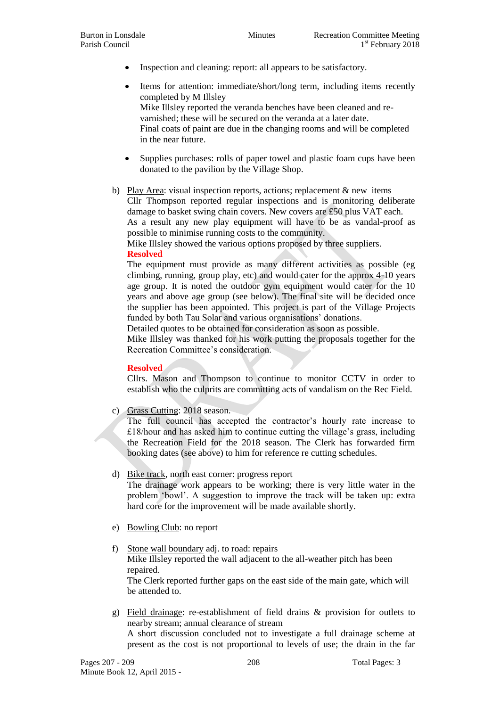• Inspection and cleaning: report: all appears to be satisfactory.

 Items for attention: immediate/short/long term, including items recently completed by M Illsley Mike Illsley reported the veranda benches have been cleaned and revarnished; these will be secured on the veranda at a later date. Final coats of paint are due in the changing rooms and will be completed in the near future.

- Supplies purchases: rolls of paper towel and plastic foam cups have been donated to the pavilion by the Village Shop.
- b) Play Area: visual inspection reports, actions; replacement & new items Cllr Thompson reported regular inspections and is monitoring deliberate damage to basket swing chain covers. New covers are £50 plus VAT each. As a result any new play equipment will have to be as vandal-proof as possible to minimise running costs to the community.

Mike Illsley showed the various options proposed by three suppliers. **Resolved**

# The equipment must provide as many different activities as possible (eg climbing, running, group play, etc) and would cater for the approx 4-10 years age group. It is noted the outdoor gym equipment would cater for the 10 years and above age group (see below). The final site will be decided once the supplier has been appointed. This project is part of the Village Projects funded by both Tau Solar and various organisations' donations.

Detailed quotes to be obtained for consideration as soon as possible.

Mike Illsley was thanked for his work putting the proposals together for the Recreation Committee's consideration.

## **Resolved**

Cllrs. Mason and Thompson to continue to monitor CCTV in order to establish who the culprits are committing acts of vandalism on the Rec Field.

c) Grass Cutting: 2018 season.

The full council has accepted the contractor's hourly rate increase to £18/hour and has asked him to continue cutting the village's grass, including the Recreation Field for the 2018 season. The Clerk has forwarded firm booking dates (see above) to him for reference re cutting schedules.

## d) Bike track, north east corner: progress report

The drainage work appears to be working; there is very little water in the problem 'bowl'. A suggestion to improve the track will be taken up: extra hard core for the improvement will be made available shortly.

- e) Bowling Club: no report
- f) Stone wall boundary adj. to road: repairs Mike Illsley reported the wall adjacent to the all-weather pitch has been repaired. The Clerk reported further gaps on the east side of the main gate, which will be attended to.
- g) Field drainage: re-establishment of field drains & provision for outlets to nearby stream; annual clearance of stream A short discussion concluded not to investigate a full drainage scheme at present as the cost is not proportional to levels of use; the drain in the far